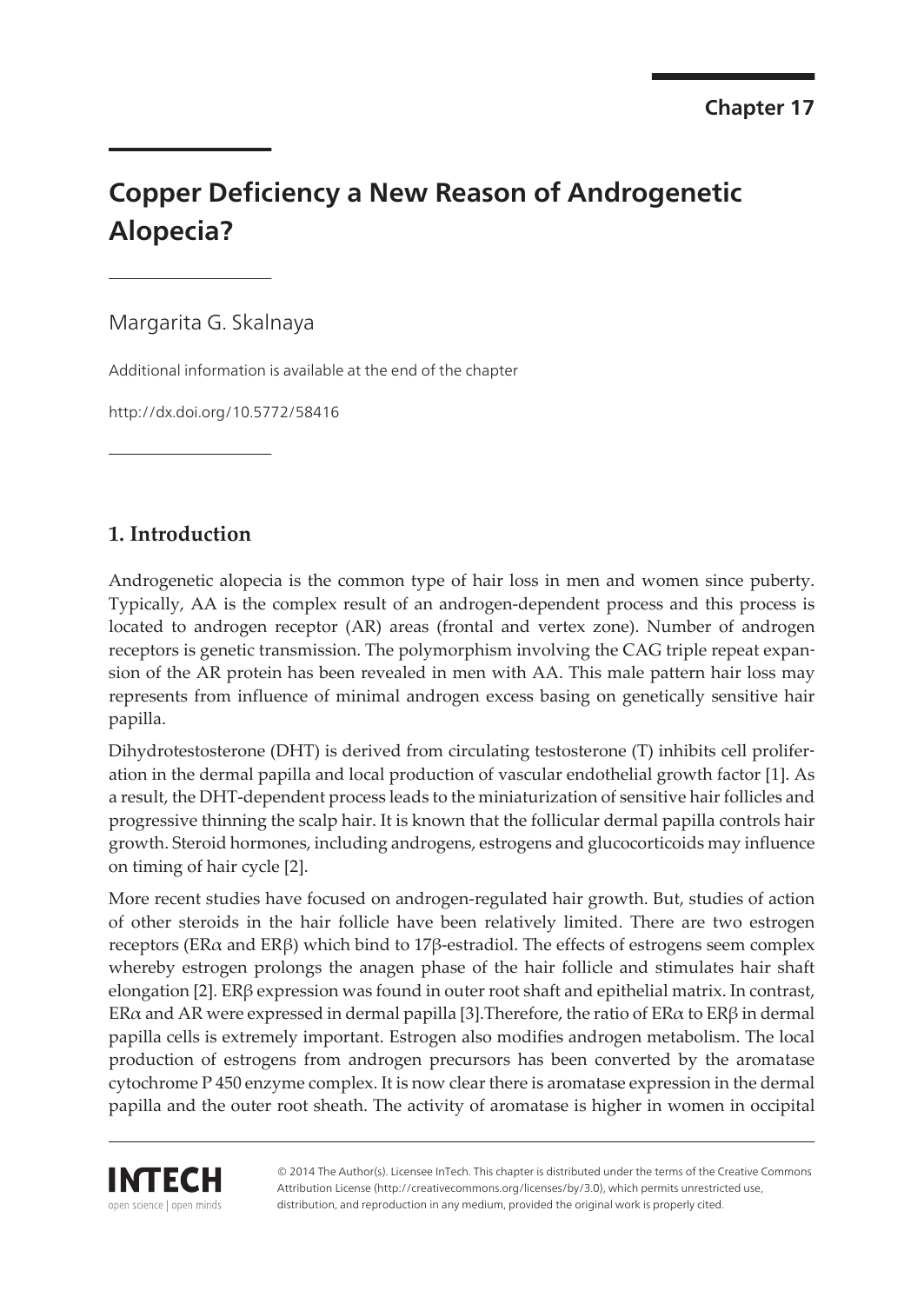# **Copper Deficiency a New Reason of Androgenetic Alopecia?**

Margarita G. Skalnaya

Additional information is available at the end of the chapter

http://dx.doi.org/10.5772/58416

## **1. Introduction**

Androgenetic alopecia is the common type of hair loss in men and women since puberty. Typically, AA is the complex result of an androgen-dependent process and this process is located to androgen receptor (AR) areas (frontal and vertex zone). Number of androgen receptors is genetic transmission. The polymorphism involving the CAG triple repeat expansion of the AR protein has been revealed in men with AA. This male pattern hair loss may represents from influence of minimal androgen excess basing on genetically sensitive hair papilla.

Dihydrotestosterone (DHT) is derived from circulating testosterone (T) inhibits cell prolifer‐ ation in the dermal papilla and local production of vascular endothelial growth factor [\[1\]](#page-9-0). As a result, the DHT-dependent process leads to the miniaturization of sensitive hair follicles and progressive thinning the scalp hair. It is known that the follicular dermal papilla controls hair growth. Steroid hormones, including androgens, estrogens and glucocorticoids may influence on timing of hair cycle [\[2\]](#page-10-0).

More recent studies have focused on androgen-regulated hair growth. But, studies of action of other steroids in the hair follicle have been relatively limited. There are two estrogen receptors (ERα and ERβ) which bind to 17β-estradiol. The effects of estrogens seem complex whereby estrogen prolongs the anagen phase of the hair follicle and stimulates hair shaft elongation [[2](#page-10-0)]. ERβ expression was found in outer root shaft and epithelial matrix. In contrast, ER $\alpha$  and AR were expressed in dermal papilla [[3](#page-10-0)]. Therefore, the ratio of ER $\alpha$  to ER $\beta$  in dermal papilla cells is extremely important. Estrogen also modifies androgen metabolism. The local production of estrogens from androgen precursors has been converted by the aromatase cytochrome P 450 enzyme complex. It is now clear there is aromatase expression in the dermal papilla and the outer root sheath. The activity of aromatase is higher in women in occipital



© 2014 The Author(s). Licensee InTech. This chapter is distributed under the terms of the Creative Commons Attribution License (http://creativecommons.org/licenses/by/3.0), which permits unrestricted use, distribution, and reproduction in any medium, provided the original work is properly cited.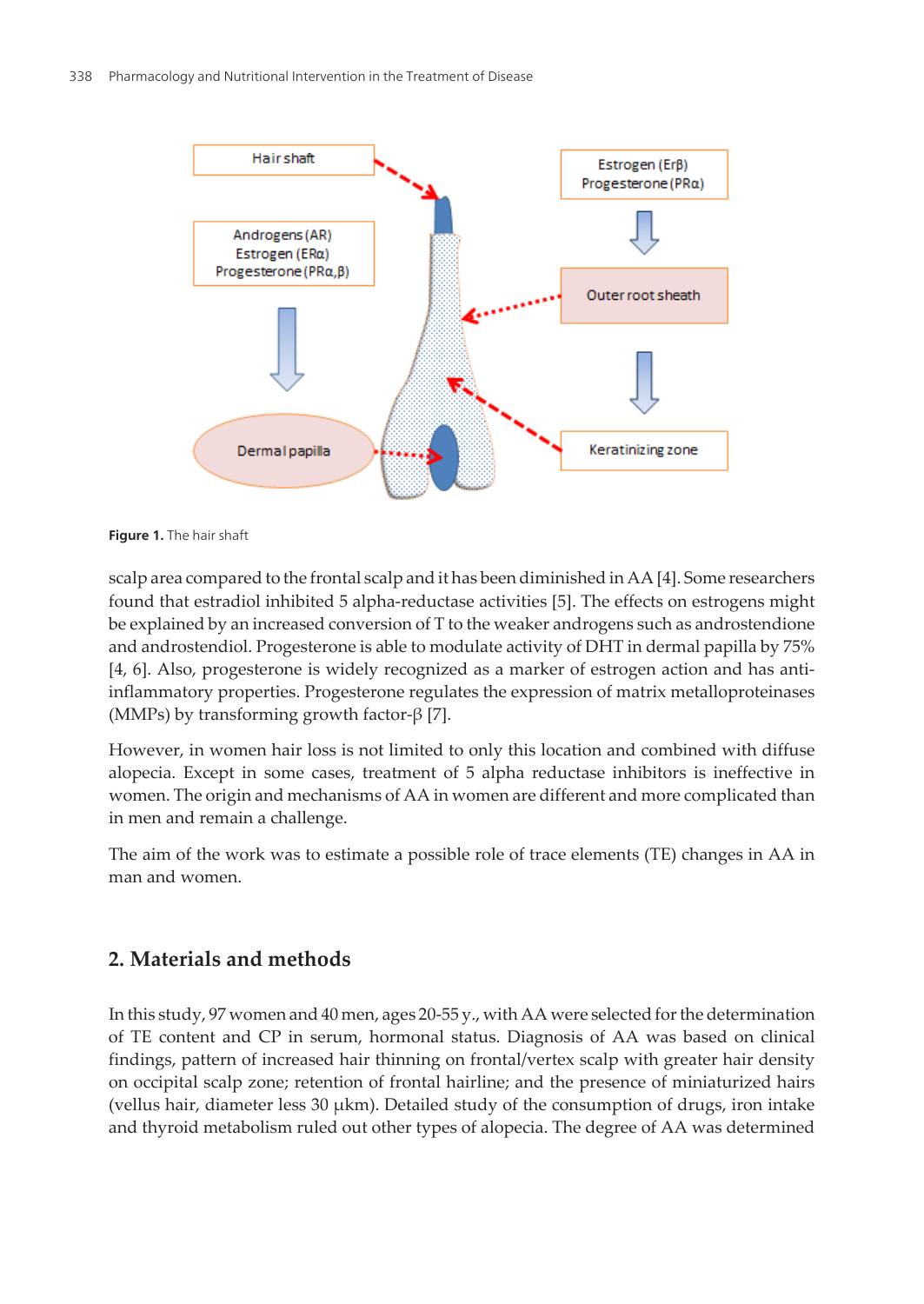

**Figure 1.** The hair shaft

scalp area compared to the frontal scalp and it has been diminished in AA [[4](#page-10-0)]. Some researchers found that estradiol inhibited 5 alpha-reductase activities [[5](#page-10-0)]. The effects on estrogens might be explained by an increased conversion of T to the weaker androgens such as androstendione and androstendiol. Progesterone is able to modulate activity of DHT in dermal papilla by 75% [[4](#page-10-0), [6\]](#page-10-0). Also, progesterone is widely recognized as a marker of estrogen action and has antiinflammatory properties. Progesterone regulates the expression of matrix metalloproteinases (MMPs) by transforming growth factor- $\beta$  [[7](#page-10-0)].

However, in women hair loss is not limited to only this location and combined with diffuse alopecia. Except in some cases, treatment of 5 alpha reductase inhibitors is ineffective in women. The origin and mechanisms of AA in women are different and more complicated than in men and remain a challenge.

The aim of the work was to estimate a possible role of trace elements (TE) changes in AA in man and women.

### **2. Materials and methods**

In this study, 97 women and 40 men, ages 20-55 y., with AA were selected for the determination of TE content and CP in serum, hormonal status. Diagnosis of AA was based on clinical findings, pattern of increased hair thinning on frontal/vertex scalp with greater hair density on occipital scalp zone; retention of frontal hairline; and the presence of miniaturized hairs (vellus hair, diameter less  $30 \mu$ km). Detailed study of the consumption of drugs, iron intake and thyroid metabolism ruled out other types of alopecia. The degree of AA was determined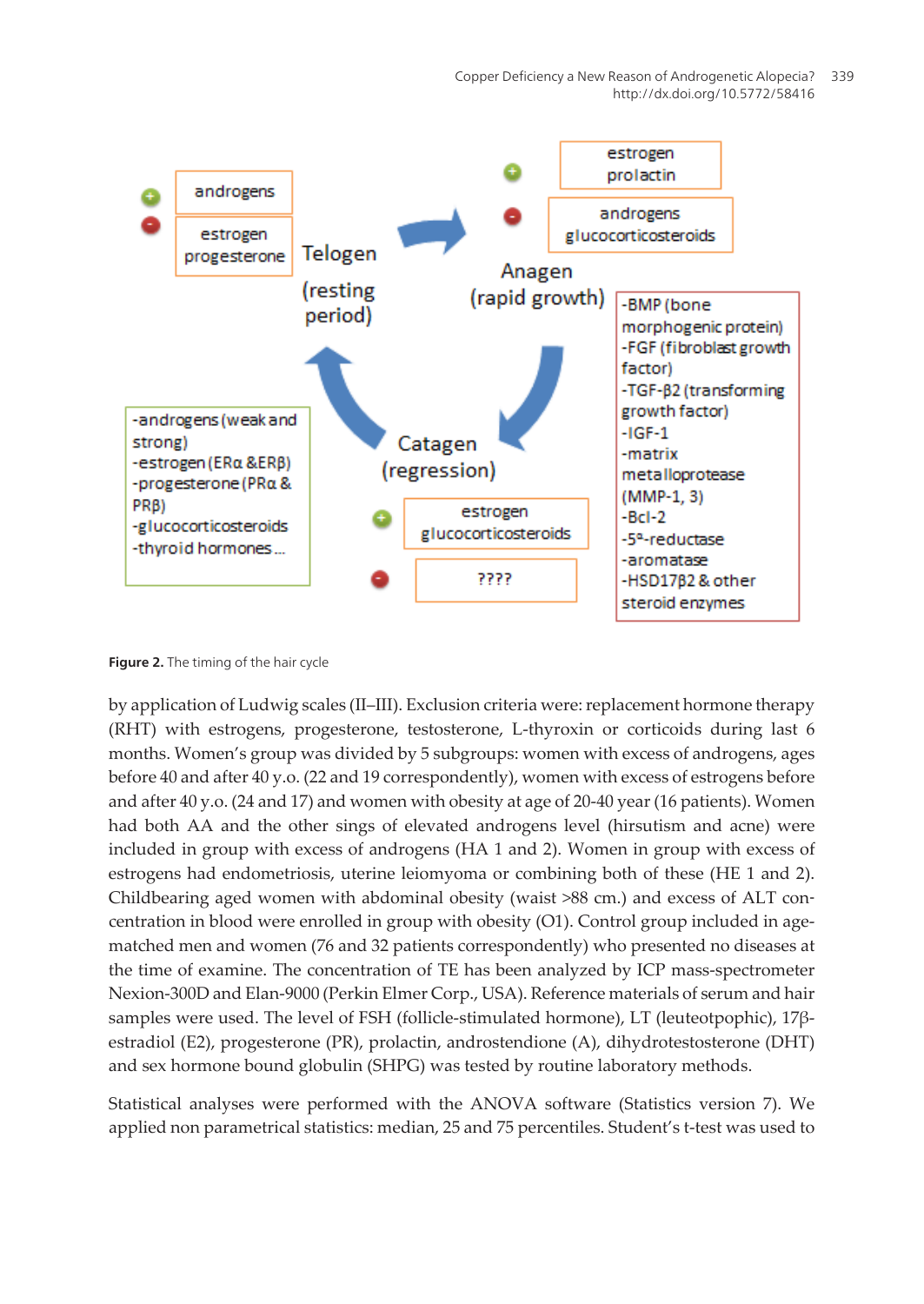

**Figure 2.** The timing of the hair cycle

by application of Ludwig scales (II–III). Exclusion criteria were: replacement hormone therapy (RHT) with estrogens, progesterone, testosterone, L-thyroxin or corticoids during last 6 months. Women's group was divided by 5 subgroups: women with excess of androgens, ages before 40 and after 40 y.o. (22 and 19 correspondently), women with excess of estrogens before and after 40 y.o. (24 and 17) and women with obesity at age of 20-40 year (16 patients). Women had both AA and the other sings of elevated androgens level (hirsutism and acne) were included in group with excess of androgens (HA 1 and 2). Women in group with excess of estrogens had endometriosis, uterine leiomyoma or combining both of these (HE 1 and 2). Childbearing aged women with abdominal obesity (waist >88 cm.) and excess of ALT concentration in blood were enrolled in group with obesity (O1). Control group included in agematched men and women (76 and 32 patients correspondently) who presented no diseases at the time of examine. The concentration of TE has been analyzed by ICP mass-spectrometer Nexion-300D and Elan-9000 (Perkin Elmer Corp., USA). Reference materials of serum and hair samples were used. The level of FSH (follicle-stimulated hormone), LT (leuteotpophic), 17βestradiol (E2), progesterone (PR), prolactin, androstendione (A), dihydrotestosterone (DHT) and sex hormone bound globulin (SHPG) was tested by routine laboratory methods.

Statistical analyses were performed with the ANOVA software (Statistics version 7). We applied non parametrical statistics: median, 25 and 75 percentiles. Student's t-test was used to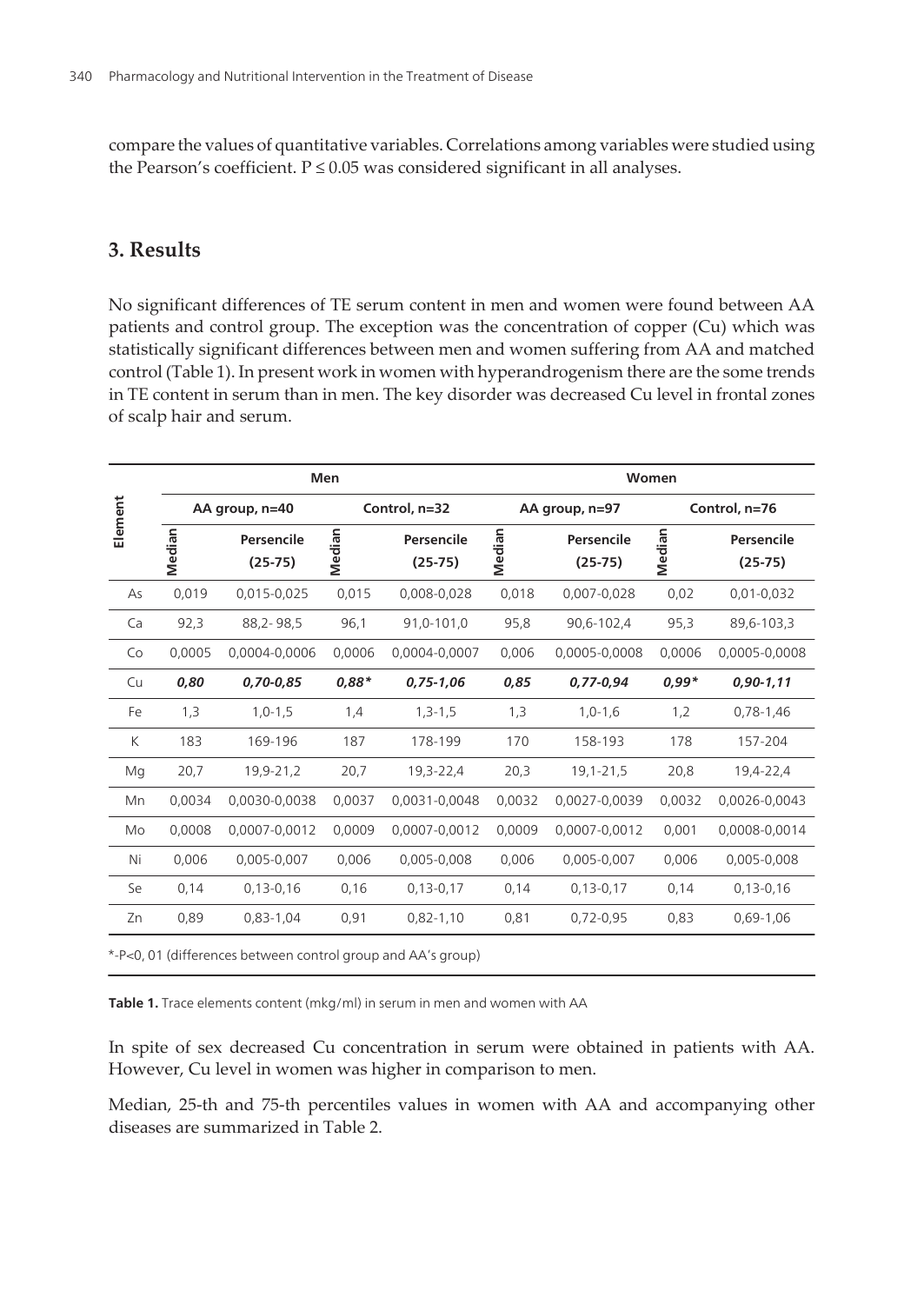compare the values of quantitative variables. Correlations among variables were studied using the Pearson's coefficient.  $P \le 0.05$  was considered significant in all analyses.

#### **3. Results**

No significant differences of TE serum content in men and women were found between AA patients and control group. The exception was the concentration of copper (Cu) which was statistically significant differences between men and women suffering from AA and matched control (Table 1). In present work in women with hyperandrogenism there are the some trends in TE content in serum than in men. The key disorder was decreased Cu level in frontal zones of scalp hair and serum.

|                                                              | Men            |                         |               |                         | Women          |                         |               |                         |
|--------------------------------------------------------------|----------------|-------------------------|---------------|-------------------------|----------------|-------------------------|---------------|-------------------------|
| Element                                                      | AA group, n=40 |                         | Control, n=32 |                         | AA group, n=97 |                         | Control, n=76 |                         |
|                                                              | Median         | Persencile<br>$(25-75)$ | Median        | Persencile<br>$(25-75)$ | Median         | Persencile<br>$(25-75)$ | Median        | Persencile<br>$(25-75)$ |
| As                                                           | 0,019          | 0,015-0,025             | 0,015         | 0,008-0,028             | 0,018          | 0,007-0,028             | 0,02          | 0,01-0,032              |
| Ca                                                           | 92,3           | 88, 2-98, 5             | 96,1          | 91.0-101.0              | 95,8           | 90.6-102.4              | 95,3          | 89.6-103.3              |
| Co                                                           | 0,0005         | 0,0004-0,0006           | 0,0006        | 0,0004-0,0007           | 0,006          | 0,0005-0,0008           | 0,0006        | 0,0005-0,0008           |
| Cu                                                           | 0,80           | $0.70 - 0.85$           | $0.88*$       | $0,75 - 1,06$           | 0,85           | $0.77 - 0.94$           | $0.99*$       | $0.90 - 1.11$           |
| Fe                                                           | 1,3            | $1,0-1,5$               | 1,4           | $1, 3 - 1, 5$           | 1,3            | $1,0-1,6$               | 1,2           | $0,78-1,46$             |
| K                                                            | 183            | 169-196                 | 187           | 178-199                 | 170            | 158-193                 | 178           | 157-204                 |
| Mg                                                           | 20,7           | 19,9-21,2               | 20,7          | 19,3-22,4               | 20,3           | $19,1 - 21,5$           | 20,8          | 19,4-22,4               |
| Mn                                                           | 0,0034         | 0,0030-0,0038           | 0,0037        | 0,0031-0,0048           | 0,0032         | 0,0027-0,0039           | 0,0032        | 0,0026-0,0043           |
| Mo                                                           | 0,0008         | 0,0007-0,0012           | 0,0009        | 0,0007-0,0012           | 0,0009         | 0,0007-0,0012           | 0,001         | 0,0008-0,0014           |
| Ni                                                           | 0,006          | 0,005-0,007             | 0,006         | 0,005-0,008             | 0,006          | 0,005-0,007             | 0,006         | 0,005-0,008             |
| Se                                                           | 0,14           | $0,13-0,16$             | 0,16          | $0,13-0,17$             | 0,14           | $0,13-0,17$             | 0,14          | $0,13-0,16$             |
| Zn                                                           | 0,89           | $0,83 - 1,04$           | 0,91          | $0,82-1,10$             | 0,81           | $0,72-0,95$             | 0,83          | $0,69-1,06$             |
| *-P<0, 01 (differences between control group and AA's group) |                |                         |               |                         |                |                         |               |                         |

**Table 1.** Trace elements content (mkg/ml) in serum in men and women with AA

In spite of sex decreased Cu concentration in serum were obtained in patients with AA. However, Cu level in women was higher in comparison to men.

Median, 25-th and 75-th percentiles values in women with AA and accompanying other diseases are summarized in Table 2.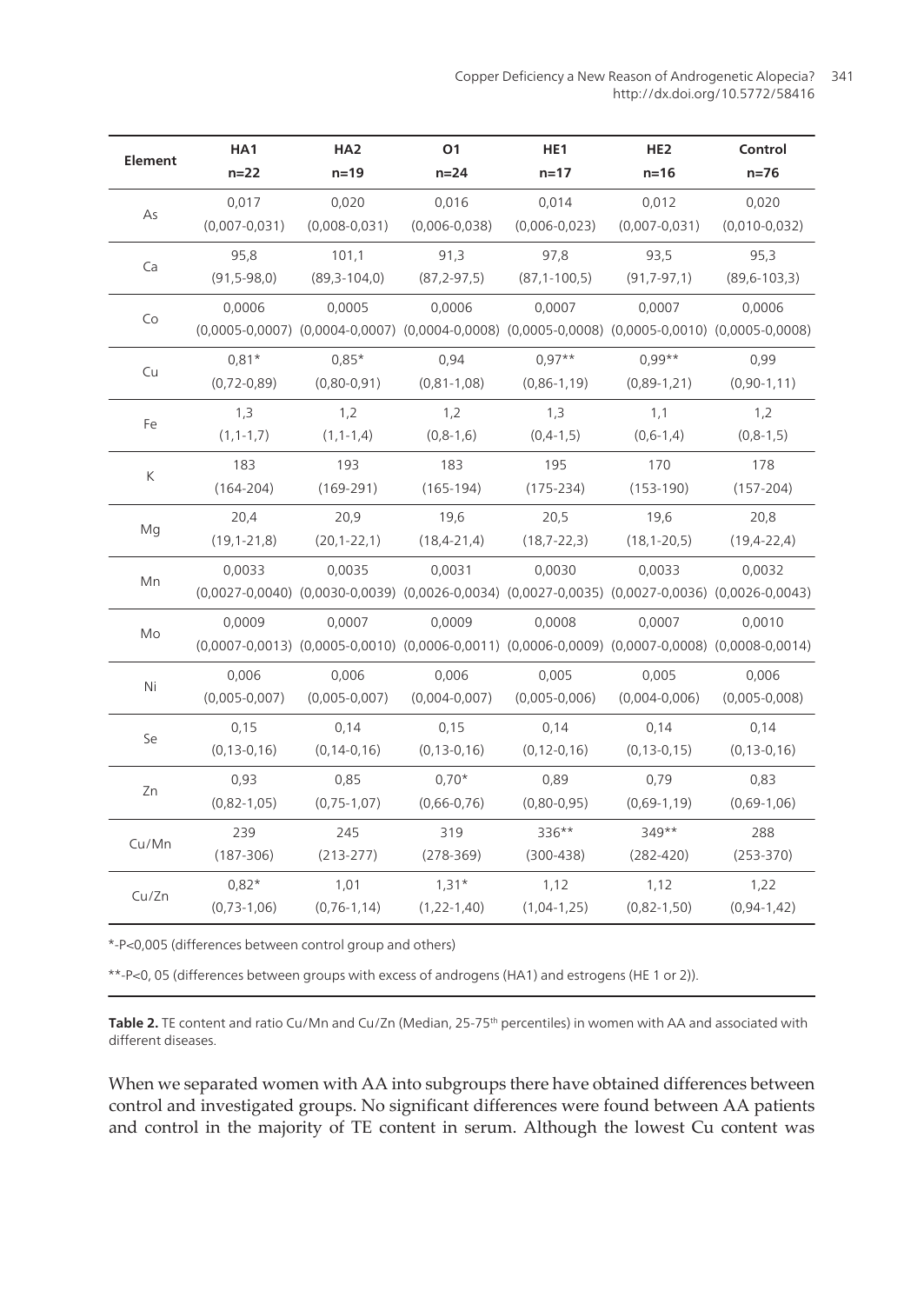| Copper Deficiency a New Reason of Androgenetic Alopecia? | 341 |
|----------------------------------------------------------|-----|
| http://dx.doi.org/10.5772/58416                          |     |

| Element | HA1               | HA <sub>2</sub>   | 01                | HE <sub>1</sub>                                                                                                       | HE <sub>2</sub>   | Control            |
|---------|-------------------|-------------------|-------------------|-----------------------------------------------------------------------------------------------------------------------|-------------------|--------------------|
|         | $n=22$            | $n = 19$          | $n=24$            | $n = 17$                                                                                                              | $n=16$            | $n=76$             |
| As      | 0,017             | 0,020             | 0,016             | 0,014                                                                                                                 | 0,012             | 0,020              |
|         | $(0,007-0,031)$   | $(0,008-0,031)$   | $(0,006-0,038)$   | $(0,006-0,023)$                                                                                                       | $(0,007-0,031)$   | $(0,010-0,032)$    |
| Ca      | 95,8              | 101,1             | 91,3              | 97,8                                                                                                                  | 93,5              | 95,3               |
|         | $(91, 5-98, 0)$   | $(89,3-104,0)$    | $(87, 2 - 97, 5)$ | $(87, 1 - 100, 5)$                                                                                                    | $(91,7-97,1)$     | $(89, 6 - 103, 3)$ |
| Co      | 0,0006            | 0.0005            | 0,0006            | 0,0007<br>$(0,0005-0,0007)$ $(0,0004-0,0007)$ $(0,0004-0,0008)$ $(0,0005-0,0008)$ $(0,0005-0,0010)$ $(0,0005-0,0008)$ | 0,0007            | 0,0006             |
| Cu      | $0.81*$           | $0.85*$           | 0,94              | $0.97**$                                                                                                              | $0.99**$          | 0,99               |
|         | $(0, 72 - 0, 89)$ | $(0,80-0,91)$     | $(0, 81 - 1, 08)$ | $(0, 86 - 1, 19)$                                                                                                     | $(0,89-1,21)$     | $(0, 90 - 1, 11)$  |
| Fe      | 1,3               | 1,2               | 1,2               | 1,3                                                                                                                   | 1,1               | 1,2                |
|         | $(1, 1 - 1, 7)$   | $(1, 1-1, 4)$     | $(0, 8-1, 6)$     | $(0, 4 - 1, 5)$                                                                                                       | $(0,6-1,4)$       | $(0, 8-1, 5)$      |
| Κ       | 183               | 193               | 183               | 195                                                                                                                   | 170               | 178                |
|         | $(164 - 204)$     | $(169 - 291)$     | $(165-194)$       | $(175 - 234)$                                                                                                         | $(153-190)$       | $(157 - 204)$      |
| Mg      | 20,4              | 20,9              | 19,6              | 20,5                                                                                                                  | 19,6              | 20,8               |
|         | $(19, 1 - 21, 8)$ | $(20, 1 - 22, 1)$ | $(18, 4 - 21, 4)$ | $(18,7-22,3)$                                                                                                         | $(18, 1 - 20, 5)$ | $(19, 4 - 22, 4)$  |
| Mn      | 0,0033            | 0.0035            | 0,0031            | 0,0030<br>(0,0027-0,0040) (0,0030-0,0039) (0,0026-0,0034) (0,0027-0,0035) (0,0027-0,0036) (0,0026-0,0043)             | 0,0033            | 0,0032             |
| Mo      | 0,0009            | 0,0007            | 0,0009            | 0,0008<br>$(0,0007-0,0013)$ $(0,0005-0,0010)$ $(0,0006-0,0011)$ $(0,0006-0,0009)$ $(0,0007-0,0008)$ $(0,0008-0,0014)$ | 0,0007            | 0,0010             |
| Ni      | 0,006             | 0,006             | 0,006             | 0,005                                                                                                                 | 0,005             | 0,006              |
|         | $(0,005-0,007)$   | $(0,005-0,007)$   | $(0,004-0,007)$   | $(0,005-0,006)$                                                                                                       | $(0,004-0,006)$   | $(0,005-0,008)$    |
| Se      | 0,15              | 0,14              | 0,15              | 0,14                                                                                                                  | 0,14              | 0,14               |
|         | $(0, 13 - 0, 16)$ | $(0, 14 - 0, 16)$ | $(0, 13 - 0, 16)$ | $(0, 12 - 0, 16)$                                                                                                     | $(0, 13 - 0, 15)$ | $(0, 13 - 0, 16)$  |
| Zn      | 0,93              | 0,85              | $0.70*$           | 0,89                                                                                                                  | 0,79              | 0,83               |
|         | $(0,82-1,05)$     | $(0,75-1,07)$     | $(0,66-0,76)$     | $(0,80-0,95)$                                                                                                         | $(0,69-1,19)$     | $(0.69 - 1.06)$    |
| Cu/Mn   | 239               | 245               | 319               | $336***$                                                                                                              | $349**$           | 288                |
|         | $(187 - 306)$     | $(213 - 277)$     | $(278-369)$       | $(300-438)$                                                                                                           | $(282 - 420)$     | $(253 - 370)$      |
| Cu/Zn   | $0.82*$           | 1,01              | $1.31*$           | 1,12                                                                                                                  | 1,12              | 1,22               |
|         | $(0, 73 - 1, 06)$ | $(0, 76 - 1, 14)$ | $(1, 22 - 1, 40)$ | $(1,04-1,25)$                                                                                                         | $(0,82-1,50)$     | $(0, 94 - 1, 42)$  |

\*-P<0,005 (differences between control group and others)

\*\*-P<0, 05 (differences between groups with excess of androgens (HA1) and estrogens (HE 1 or 2)).

Table 2. TE content and ratio Cu/Mn and Cu/Zn (Median, 25-75<sup>th</sup> percentiles) in women with AA and associated with different diseases.

When we separated women with AA into subgroups there have obtained differences between control and investigated groups. No significant differences were found between AA patients and control in the majority of TE content in serum. Although the lowest Cu content was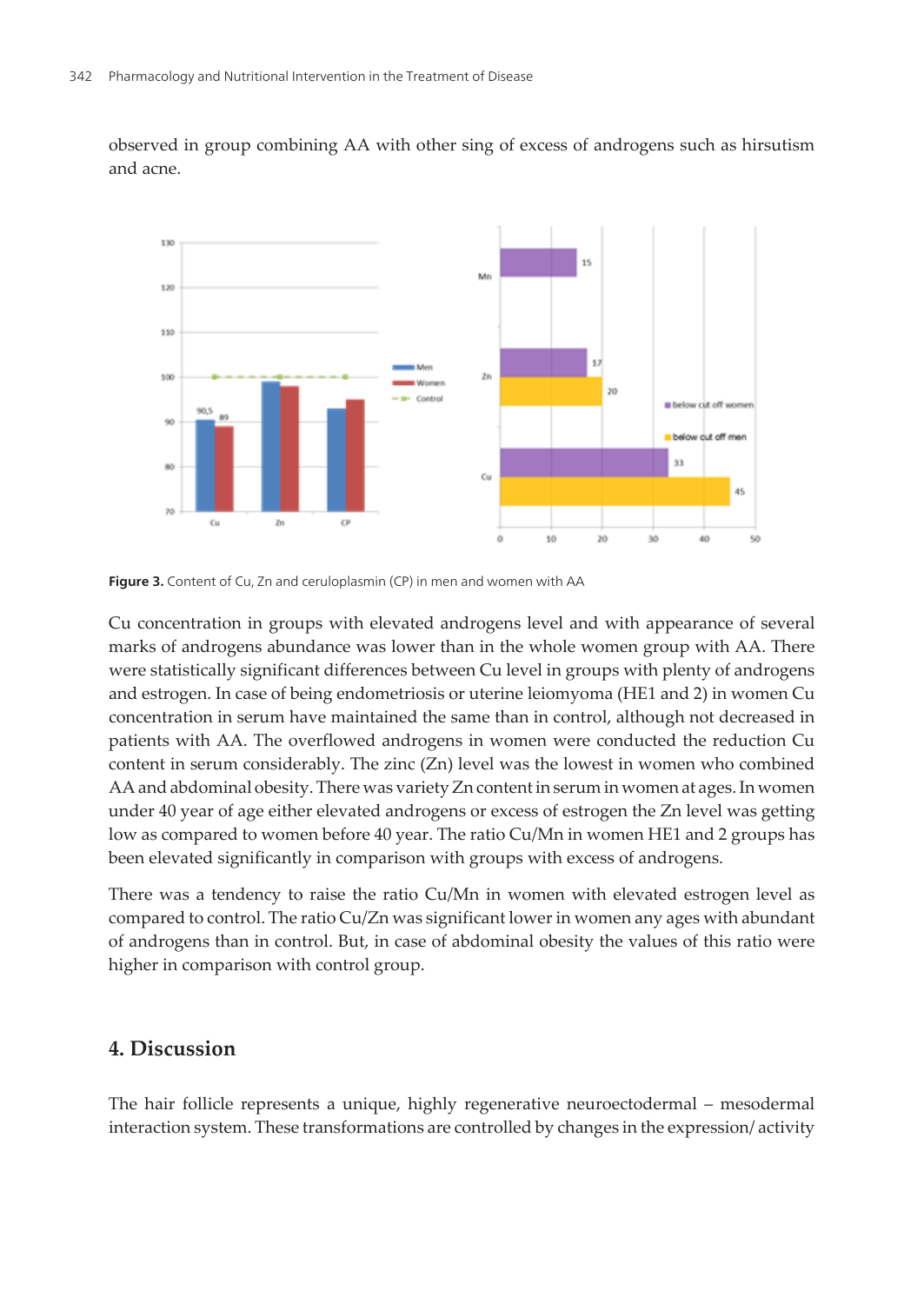observed in group combining AA with other sing of excess of androgens such as hirsutism and acne.



**Figure 3.** Content of Cu, Zn and ceruloplasmin (CP) in men and women with AA

Cu concentration in groups with elevated androgens level and with appearance of several marks of androgens abundance was lower than in the whole women group with AA. There were statistically significant differences between Cu level in groups with plenty of androgens and estrogen. In case of being endometriosis or uterine leiomyoma (HE1 and 2) in women Cu concentration in serum have maintained the same than in control, although not decreased in patients with AA. The overflowed androgens in women were conducted the reduction Cu content in serum considerably. The zinc (Zn) level was the lowest in women who combined AA and abdominal obesity. There was variety Zn content in serum in women at ages. In women under 40 year of age either elevated androgens or excess of estrogen the Zn level was getting low as compared to women before 40 year. The ratio Cu/Mn in women HE1 and 2 groups has been elevated significantly in comparison with groups with excess of androgens.

There was a tendency to raise the ratio Cu/Mn in women with elevated estrogen level as compared to control. The ratio Cu/Zn was significant lower in women any ages with abundant of androgens than in control. But, in case of abdominal obesity the values of this ratio were higher in comparison with control group.

#### **4. Discussion**

The hair follicle represents a unique, highly regenerative neuroectodermal – mesodermal interaction system. These transformations are controlled by changes in the expression/ activity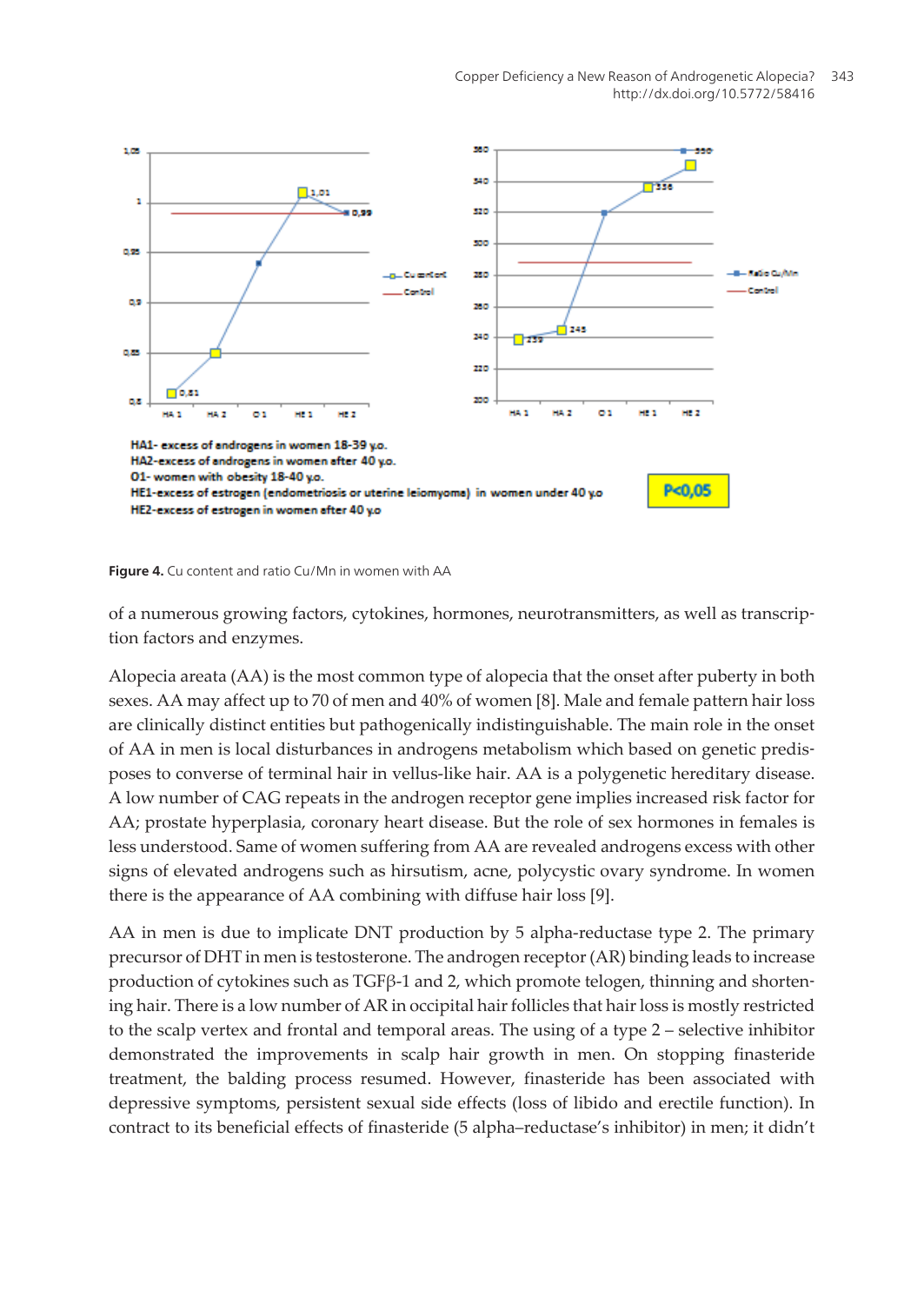

**Figure 4.** Cu content and ratio Cu/Mn in women with AA

of a numerous growing factors, cytokines, hormones, neurotransmitters, as well as transcrip‐ tion factors and enzymes.

Alopecia areata (AA) is the most common type of alopecia that the onset after puberty in both sexes. AA may affect up to 70 of men and 40% of women [[8](#page-10-0)]. Male and female pattern hair loss are clinically distinct entities but pathogenically indistinguishable. The main role in the onset of AA in men is local disturbances in androgens metabolism which based on genetic predis‐ poses to converse of terminal hair in vellus-like hair. AA is a polygenetic hereditary disease. A low number of CAG repeats in the androgen receptor gene implies increased risk factor for AA; prostate hyperplasia, coronary heart disease. But the role of sex hormones in females is less understood. Same of women suffering from AA are revealed androgens excess with other signs of elevated androgens such as hirsutism, acne, polycystic ovary syndrome. In women there is the appearance of AA combining with diffuse hair loss [[9](#page-10-0)].

AA in men is due to implicate DNT production by 5 alpha-reductase type 2. The primary precursor of DHT in men is testosterone. The androgen receptor (AR) binding leads to increase production of cytokines such as  $TGF\beta-1$  and 2, which promote telogen, thinning and shortening hair. There is a low number of AR in occipital hair follicles that hair loss is mostly restricted to the scalp vertex and frontal and temporal areas. The using of a type 2 – selective inhibitor demonstrated the improvements in scalp hair growth in men. On stopping finasteride treatment, the balding process resumed. However, finasteride has been associated with depressive symptoms, persistent sexual side effects (loss of libido and erectile function). In contract to its beneficial effects of finasteride (5 alpha–reductase's inhibitor) in men; it didn't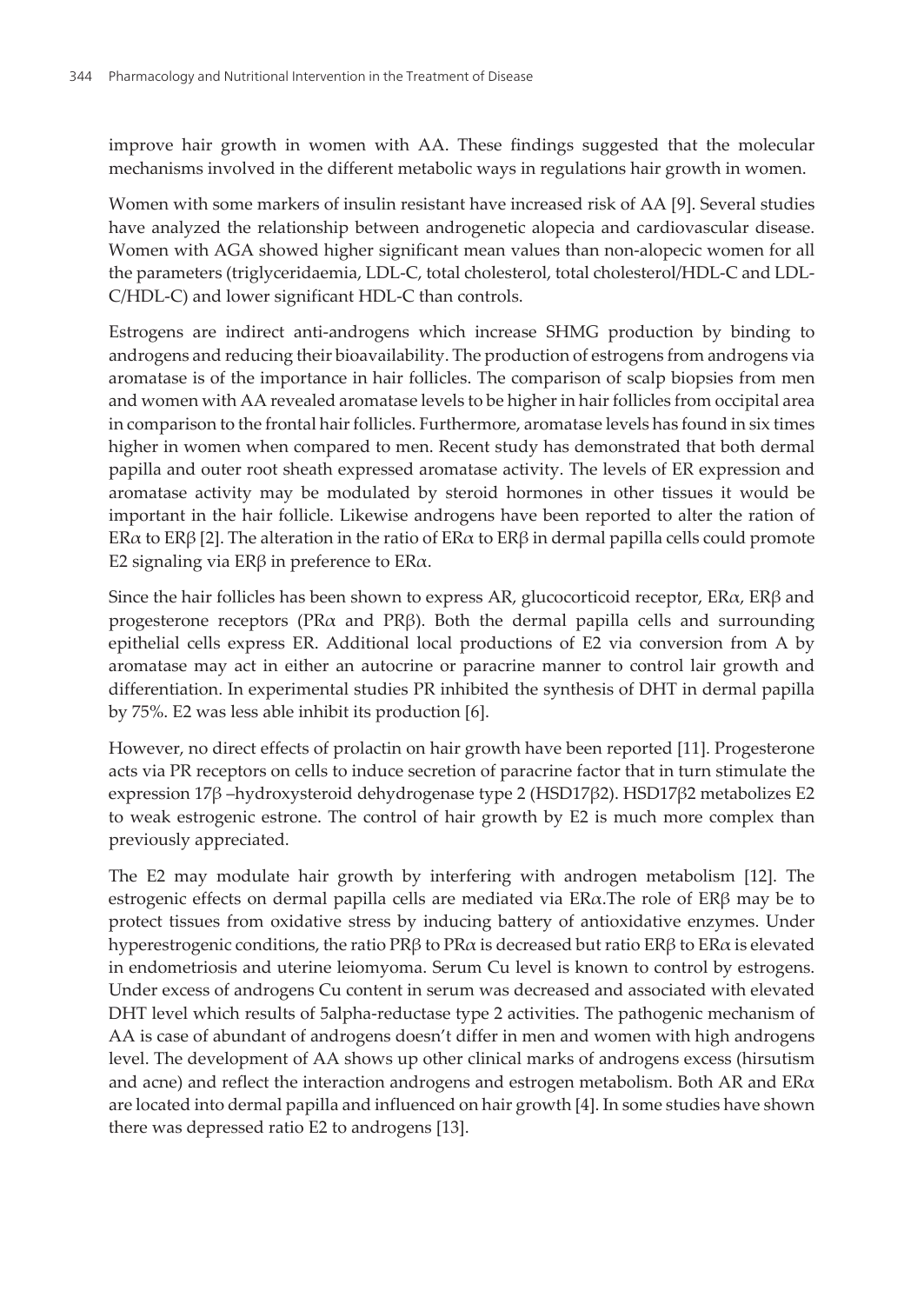improve hair growth in women with AA. These findings suggested that the molecular mechanisms involved in the different metabolic ways in regulations hair growth in women.

Women with some markers of insulin resistant have increased risk of AA [\[9\]](#page-10-0). Several studies have analyzed the relationship between androgenetic alopecia and cardiovascular disease. Women with AGA showed higher significant mean values than non-alopecic women for all the parameters (triglyceridaemia, LDL-C, total cholesterol, total cholesterol/HDL-C and LDL-C/HDL-C) and lower significant HDL-C than controls.

Estrogens are indirect anti-androgens which increase SHMG production by binding to androgens and reducing their bioavailability. The production of estrogens from androgens via aromatase is of the importance in hair follicles. The comparison of scalp biopsies from men and women with AA revealed aromatase levels to be higher in hair follicles from occipital area in comparison to the frontal hair follicles. Furthermore, aromatase levels has found in six times higher in women when compared to men. Recent study has demonstrated that both dermal papilla and outer root sheath expressed aromatase activity. The levels of ER expression and aromatase activity may be modulated by steroid hormones in other tissues it would be important in the hair follicle. Likewise androgens have been reported to alter the ration of ER $\alpha$  to ERβ [\[2\]](#page-10-0). The alteration in the ratio of ER $\alpha$  to ERβ in dermal papilla cells could promote E2 signaling via ERβ in preference to ERα.

Since the hair follicles has been shown to express AR, glucocorticoid receptor,  $ER\alpha$ ,  $ER\beta$  and progesterone receptors (PRα and PRβ). Both the dermal papilla cells and surrounding epithelial cells express ER. Additional local productions of E2 via conversion from A by aromatase may act in either an autocrine or paracrine manner to control lair growth and differentiation. In experimental studies PR inhibited the synthesis of DHT in dermal papilla by 75%. E2 was less able inhibit its production [[6](#page-10-0)].

However, no direct effects of prolactin on hair growth have been reported [\[11](#page-10-0)]. Progesterone acts via PR receptors on cells to induce secretion of paracrine factor that in turn stimulate the expression 17β –hydroxysteroid dehydrogenase type 2 (HSD17β2). HSD17β2 metabolizes E2 to weak estrogenic estrone. The control of hair growth by E2 is much more complex than previously appreciated.

The E2 may modulate hair growth by interfering with androgen metabolism [\[12](#page-10-0)]. The estrogenic effects on dermal papilla cells are mediated via ERα.The role of ERβ may be to protect tissues from oxidative stress by inducing battery of antioxidative enzymes. Under hyperestrogenic conditions, the ratio PR $\beta$  to PR $\alpha$  is decreased but ratio ER $\beta$  to ER $\alpha$  is elevated in endometriosis and uterine leiomyoma. Serum Cu level is known to control by estrogens. Under excess of androgens Cu content in serum was decreased and associated with elevated DHT level which results of 5alpha-reductase type 2 activities. The pathogenic mechanism of AA is case of abundant of androgens doesn't differ in men and women with high androgens level. The development of AA shows up other clinical marks of androgens excess (hirsutism and acne) and reflect the interaction androgens and estrogen metabolism. Both AR and  $ER\alpha$ are located into dermal papilla and influenced on hair growth [\[4\]](#page-10-0). In some studies have shown there was depressed ratio E2 to androgens [[13\]](#page-10-0).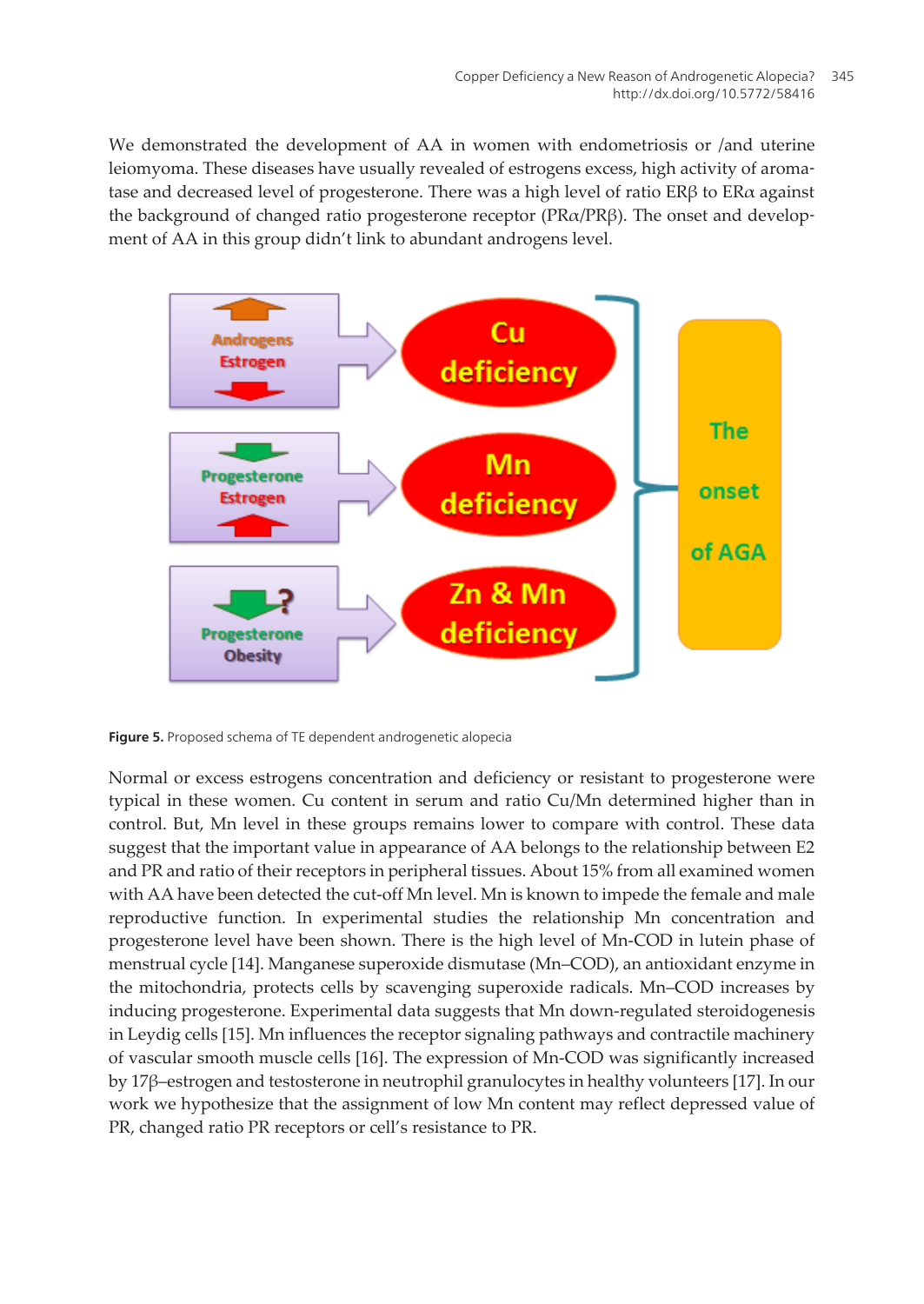We demonstrated the development of AA in women with endometriosis or /and uterine leiomyoma. These diseases have usually revealed of estrogens excess, high activity of aroma‐ tase and decreased level of progesterone. There was a high level of ratio ERβ to ERα against the background of changed ratio progesterone receptor (PRα/PRβ). The onset and development of AA in this group didn't link to abundant androgens level.



**Figure 5.** Proposed schema of TE dependent androgenetic alopecia

Normal or excess estrogens concentration and deficiency or resistant to progesterone were typical in these women. Cu content in serum and ratio Cu/Mn determined higher than in control. But, Mn level in these groups remains lower to compare with control. These data suggest that the important value in appearance of AA belongs to the relationship between E2 and PR and ratio of their receptors in peripheral tissues. About 15% from all examined women with AA have been detected the cut-off Mn level. Mn is known to impede the female and male reproductive function. In experimental studies the relationship Mn concentration and progesterone level have been shown. There is the high level of Mn-COD in lutein phase of menstrual cycle [[14\]](#page-10-0). Manganese superoxide dismutase (Mn–COD), an antioxidant enzyme in the mitochondria, protects cells by scavenging superoxide radicals. Mn–COD increases by inducing progesterone. Experimental data suggests that Mn down-regulated steroidogenesis in Leydig cells [[15\]](#page-11-0). Mn influences the receptor signaling pathways and contractile machinery of vascular smooth muscle cells [\[16](#page-11-0)]. The expression of Mn-COD was significantly increased by 17β–estrogen and testosterone in neutrophil granulocytes in healthy volunteers [\[17](#page-11-0)]. In our work we hypothesize that the assignment of low Mn content may reflect depressed value of PR, changed ratio PR receptors or cell's resistance to PR.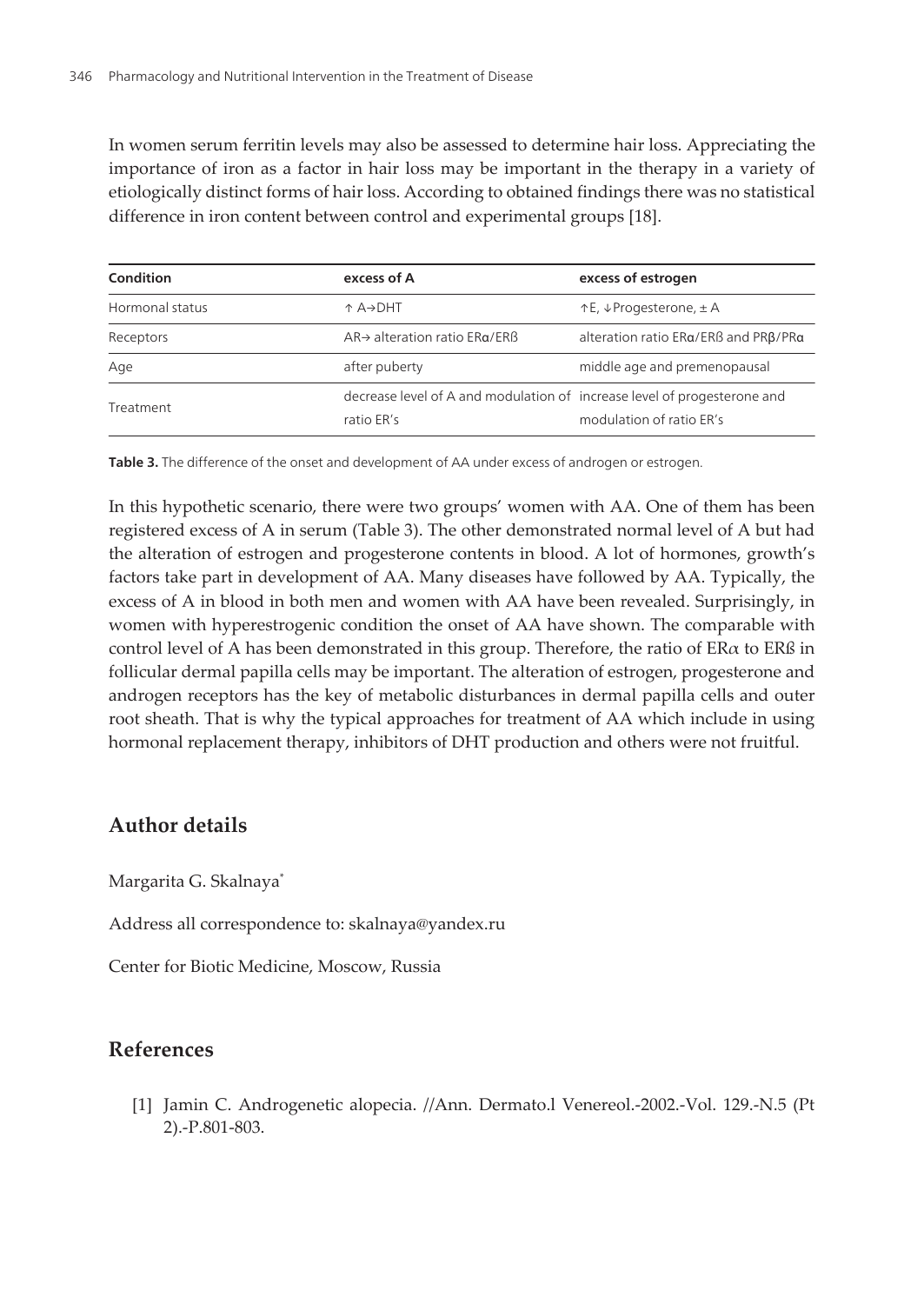<span id="page-9-0"></span>In women serum ferritin levels may also be assessed to determine hair loss. Appreciating the importance of iron as a factor in hair loss may be important in the therapy in a variety of etiologically distinct forms of hair loss. According to obtained findings there was no statistical difference in iron content between control and experimental groups [\[18](#page-11-0)].

| Condition       | excess of A                                                                            | excess of estrogen                               |
|-----------------|----------------------------------------------------------------------------------------|--------------------------------------------------|
| Hormonal status | $\uparrow$ A $\rightarrow$ DHT                                                         | $\uparrow$ E, $\downarrow$ Progesterone, $\pm$ A |
| Receptors       | AR→ alteration ratio ERa/ERB                                                           | alteration ratio ERa/ERB and PRB/PRa             |
| Age             | after puberty                                                                          | middle age and premenopausal                     |
| Treatment       | decrease level of A and modulation of increase level of progesterone and<br>ratio ER's | modulation of ratio ER's                         |

**Table 3.** The difference of the onset and development of AA under excess of androgen or estrogen.

In this hypothetic scenario, there were two groups' women with AA. One of them has been registered excess of A in serum (Table 3). The other demonstrated normal level of A but had the alteration of estrogen and progesterone contents in blood. A lot of hormones, growth's factors take part in development of AA. Many diseases have followed by AA. Typically, the excess of A in blood in both men and women with AA have been revealed. Surprisingly, in women with hyperestrogenic condition the onset of AA have shown. The comparable with control level of A has been demonstrated in this group. Therefore, the ratio of  $ER\alpha$  to  $ER\beta$  in follicular dermal papilla cells may be important. The alteration of estrogen, progesterone and androgen receptors has the key of metabolic disturbances in dermal papilla cells and outer root sheath. That is why the typical approaches for treatment of AA which include in using hormonal replacement therapy, inhibitors of DHT production and others were not fruitful.

#### **Author details**

Margarita G. Skalnaya\*

Address all correspondence to: skalnaya@yandex.ru

Center for Biotic Medicine, Moscow, Russia

#### **References**

[1] Jamin C. Androgenetic alopecia. //Ann. Dermato.l Venereol.-2002.-Vol. 129.-N.5 (Pt 2).-P.801-803.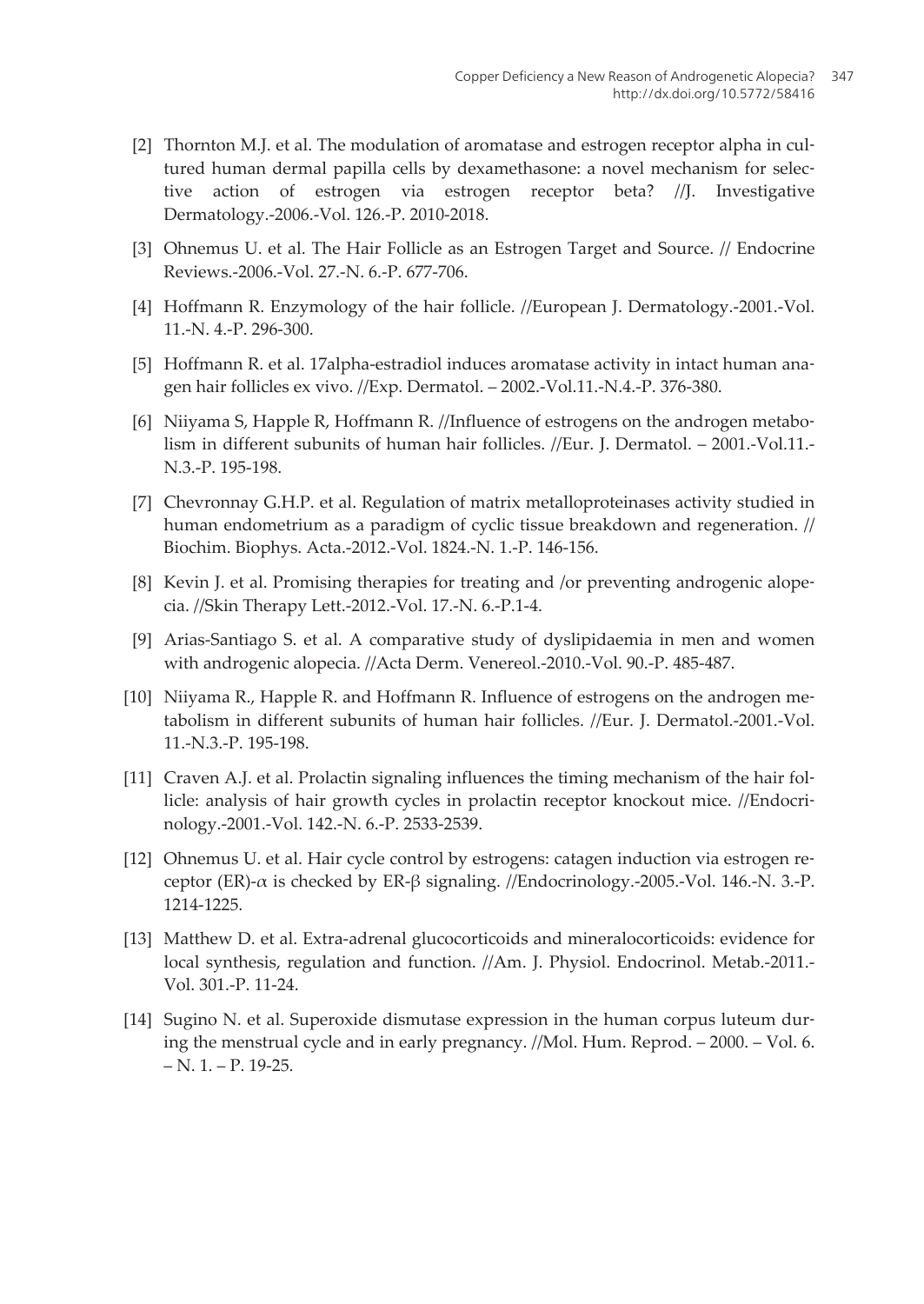- <span id="page-10-0"></span>[2] Thornton M.J. et al. The modulation of aromatase and estrogen receptor alpha in cultured human dermal papilla cells by dexamethasone: a novel mechanism for selective action of estrogen via estrogen receptor beta? //J. Investigative Dermatology.-2006.-Vol. 126.-P. 2010-2018.
- [3] Ohnemus U. et al. The Hair Follicle as an Estrogen Target and Source. // Endocrine Reviews.-2006.-Vol. 27.-N. 6.-P. 677-706.
- [4] Hoffmann R. Enzymology of the hair follicle. //European J. Dermatology.-2001.-Vol. 11.-N. 4.-P. 296-300.
- [5] Hoffmann R. et al. 17alpha-estradiol induces aromatase activity in intact human ana‐ gen hair follicles ex vivo. //Exp. Dermatol. – 2002.-Vol.11.-N.4.-P. 376-380.
- [6] Niiyama S, Happle R, Hoffmann R. //Influence of estrogens on the androgen metabo‐ lism in different subunits of human hair follicles. //Eur. J. Dermatol. – 2001.-Vol.11.- N.3.-P. 195-198.
- [7] Chevronnay G.H.P. et al. Regulation of matrix metalloproteinases activity studied in human endometrium as a paradigm of cyclic tissue breakdown and regeneration. // Biochim. Biophys. Acta.-2012.-Vol. 1824.-N. 1.-P. 146-156.
- [8] Kevin J. et al. Promising therapies for treating and /or preventing androgenic alopecia. //Skin Therapy Lett.-2012.-Vol. 17.-N. 6.-P.1-4.
- [9] Arias-Santiago S. et al. A comparative study of dyslipidaemia in men and women with androgenic alopecia. //Acta Derm. Venereol.-2010.-Vol. 90.-P. 485-487.
- [10] Niiyama R., Happle R. and Hoffmann R. Influence of estrogens on the androgen me‐ tabolism in different subunits of human hair follicles. //Eur. J. Dermatol.-2001.-Vol. 11.-N.3.-P. 195-198.
- [11] Craven A.J. et al. Prolactin signaling influences the timing mechanism of the hair fol‐ licle: analysis of hair growth cycles in prolactin receptor knockout mice. //Endocri‐ nology.-2001.-Vol. 142.-N. 6.-P. 2533-2539.
- [12] Ohnemus U. et al. Hair cycle control by estrogens: catagen induction via estrogen receptor (ER)-α is checked by ER-β signaling. //Endocrinology.-2005.-Vol. 146.-N. 3.-P. 1214-1225.
- [13] Matthew D. et al. Extra-adrenal glucocorticoids and mineralocorticoids: evidence for local synthesis, regulation and function. //Am. J. Physiol. Endocrinol. Metab.-2011.- Vol. 301.-P. 11-24.
- [14] Sugino N. et al. Superoxide dismutase expression in the human corpus luteum dur‐ ing the menstrual cycle and in early pregnancy. //Mol. Hum. Reprod. – 2000. – Vol. 6.  $- N. 1. - P. 19-25.$